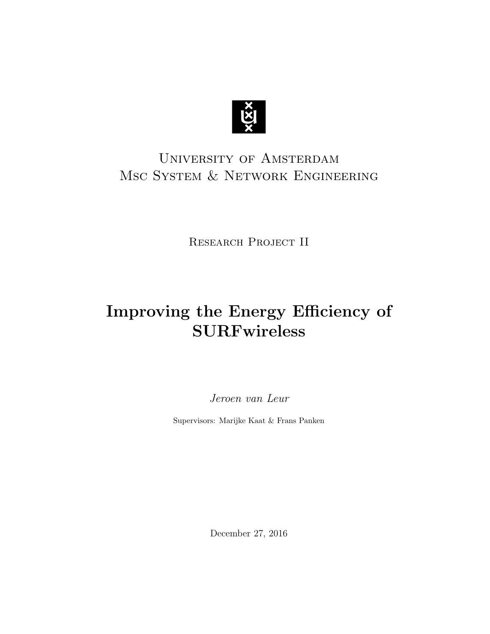

# University of Amsterdam Msc System & Network Engineering

RESEARCH PROJECT II

# Improving the Energy Efficiency of **SURFwireless**

Jeroen van Leur

Supervisors: Marijke Kaat & Frans Panken

December 27, 2016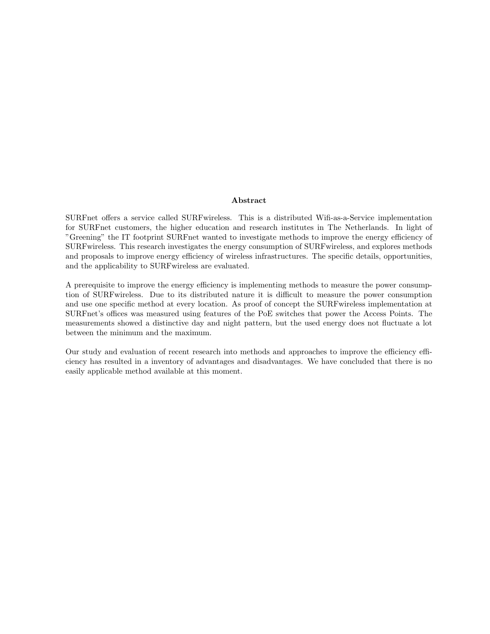#### Abstract

SURFnet offers a service called SURFwireless. This is a distributed Wifi-as-a-Service implementation for SURFnet customers, the higher education and research institutes in The Netherlands. In light of "Greening" the IT footprint SURFnet wanted to investigate methods to improve the energy efficiency of SURFwireless. This research investigates the energy consumption of SURFwireless, and explores methods and proposals to improve energy efficiency of wireless infrastructures. The specific details, opportunities, and the applicability to SURFwireless are evaluated.

A prerequisite to improve the energy efficiency is implementing methods to measure the power consumption of SURFwireless. Due to its distributed nature it is difficult to measure the power consumption and use one specific method at every location. As proof of concept the SURFwireless implementation at SURFnet's offices was measured using features of the PoE switches that power the Access Points. The measurements showed a distinctive day and night pattern, but the used energy does not fluctuate a lot between the minimum and the maximum.

Our study and evaluation of recent research into methods and approaches to improve the efficiency efficiency has resulted in a inventory of advantages and disadvantages. We have concluded that there is no easily applicable method available at this moment.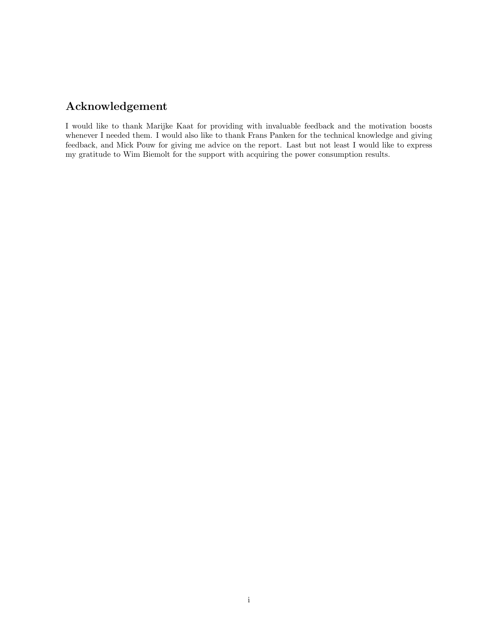### Acknowledgement

I would like to thank Marijke Kaat for providing with invaluable feedback and the motivation boosts whenever I needed them. I would also like to thank Frans Panken for the technical knowledge and giving feedback, and Mick Pouw for giving me advice on the report. Last but not least I would like to express my gratitude to Wim Biemolt for the support with acquiring the power consumption results.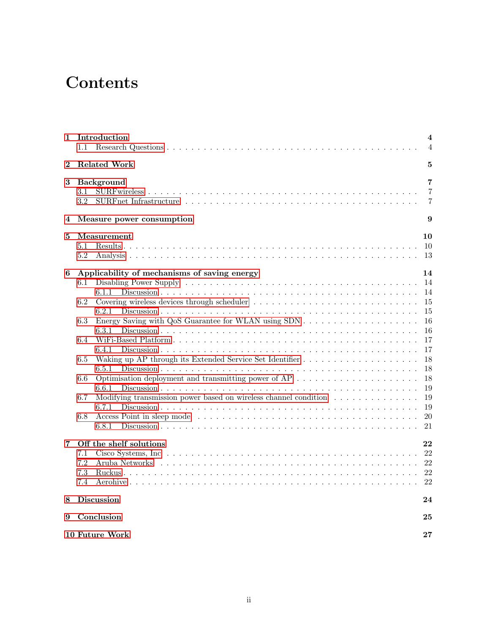# **Contents**

| 1        | Introduction<br>$1.1\,$                                                                                                                                                                                                                                                                                                                                                                             | $\overline{\mathbf{4}}$<br>4                                                                       |  |  |  |  |
|----------|-----------------------------------------------------------------------------------------------------------------------------------------------------------------------------------------------------------------------------------------------------------------------------------------------------------------------------------------------------------------------------------------------------|----------------------------------------------------------------------------------------------------|--|--|--|--|
| $\bf{2}$ | <b>Related Work</b>                                                                                                                                                                                                                                                                                                                                                                                 | 5                                                                                                  |  |  |  |  |
| 3        | Background<br>3.1<br>3.2                                                                                                                                                                                                                                                                                                                                                                            | 7<br>7<br>7                                                                                        |  |  |  |  |
| 4        | Measure power consumption                                                                                                                                                                                                                                                                                                                                                                           | 9                                                                                                  |  |  |  |  |
| 5        | Measurement<br>5.1<br>5.2                                                                                                                                                                                                                                                                                                                                                                           | 10<br>10<br>13                                                                                     |  |  |  |  |
| 6        | Applicability of mechanisms of saving energy<br>6.1<br>6.1.1<br>Covering wireless devices through scheduler<br>6.2<br>6.2.1<br>6.3<br>6.3.1<br>6.4<br>6.4.1<br>6.5<br>6.5.1<br>Optimisation deployment and transmitting power of $AP \dots \dots \dots \dots \dots \dots \dots$<br>6.6<br>6.6.1<br>Modifying transmission power based on wireless channel condition<br>6.7<br>6.7.1<br>6.8<br>6.8.1 | 14<br>14<br>14<br>15<br>15<br>16<br>16<br>17<br>17<br>18<br>18<br>18<br>19<br>19<br>19<br>20<br>21 |  |  |  |  |
| 7        | Off the shelf solutions<br>7.1<br>Aruba Networks response to the contract of the contract of the contract of the contract of the Networks response of the contract of the Networks response of the contract of the Networks response of the Networks response of<br>7.2<br>7.3<br>7.4                                                                                                               | 22<br>22<br>22<br>22<br>22                                                                         |  |  |  |  |
| 8        | <b>Discussion</b>                                                                                                                                                                                                                                                                                                                                                                                   | 24                                                                                                 |  |  |  |  |
| 9        | Conclusion<br>25                                                                                                                                                                                                                                                                                                                                                                                    |                                                                                                    |  |  |  |  |
|          | 10 Future Work                                                                                                                                                                                                                                                                                                                                                                                      | $\bf{27}$                                                                                          |  |  |  |  |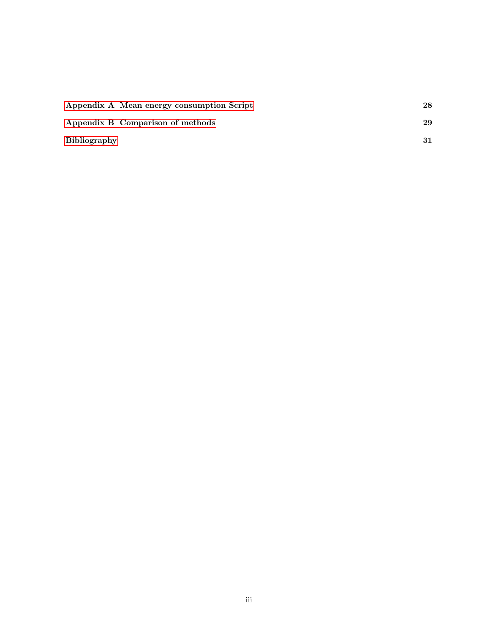|                     | Appendix A Mean energy consumption Script | 28 |
|---------------------|-------------------------------------------|----|
|                     | Appendix B Comparison of methods          | 29 |
| <b>Bibliography</b> |                                           |    |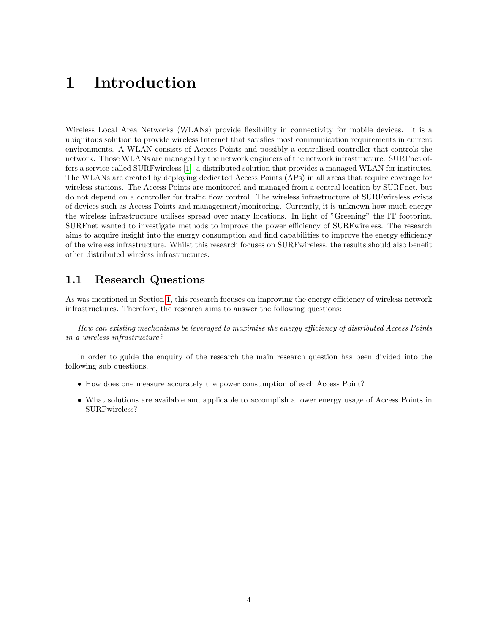# <span id="page-5-2"></span><span id="page-5-0"></span>1 Introduction

Wireless Local Area Networks (WLANs) provide flexibility in connectivity for mobile devices. It is a ubiquitous solution to provide wireless Internet that satisfies most communication requirements in current environments. A WLAN consists of Access Points and possibly a centralised controller that controls the network. Those WLANs are managed by the network engineers of the network infrastructure. SURFnet offers a service called SURFwireless [\[1\]](#page-32-1), a distributed solution that provides a managed WLAN for institutes. The WLANs are created by deploying dedicated Access Points (APs) in all areas that require coverage for wireless stations. The Access Points are monitored and managed from a central location by SURFnet, but do not depend on a controller for traffic flow control. The wireless infrastructure of SURFwireless exists of devices such as Access Points and management/monitoring. Currently, it is unknown how much energy the wireless infrastructure utilises spread over many locations. In light of "Greening" the IT footprint, SURFnet wanted to investigate methods to improve the power efficiency of SURFwireless. The research aims to acquire insight into the energy consumption and find capabilities to improve the energy efficiency of the wireless infrastructure. Whilst this research focuses on SURFwireless, the results should also benefit other distributed wireless infrastructures.

#### <span id="page-5-1"></span>1.1 Research Questions

As was mentioned in Section [1,](#page-5-0) this research focuses on improving the energy efficiency of wireless network infrastructures. Therefore, the research aims to answer the following questions:

How can existing mechanisms be leveraged to maximise the energy efficiency of distributed Access Points in a wireless infrastructure?

In order to guide the enquiry of the research the main research question has been divided into the following sub questions.

- How does one measure accurately the power consumption of each Access Point?
- What solutions are available and applicable to accomplish a lower energy usage of Access Points in SURFwireless?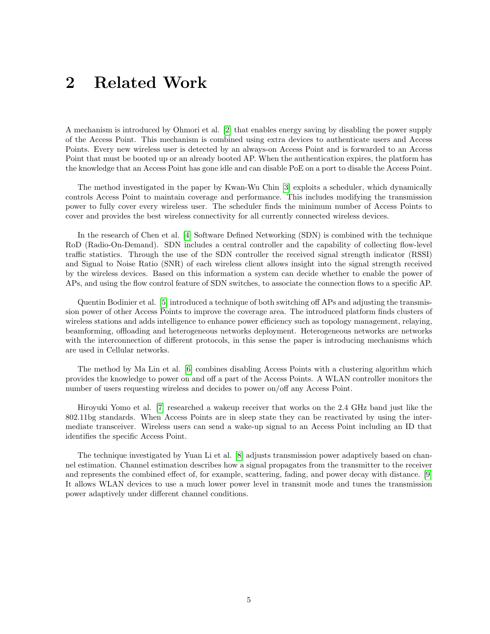# <span id="page-6-1"></span><span id="page-6-0"></span>2 Related Work

A mechanism is introduced by Ohmori et al. [\[2\]](#page-32-2) that enables energy saving by disabling the power supply of the Access Point. This mechanism is combined using extra devices to authenticate users and Access Points. Every new wireless user is detected by an always-on Access Point and is forwarded to an Access Point that must be booted up or an already booted AP. When the authentication expires, the platform has the knowledge that an Access Point has gone idle and can disable PoE on a port to disable the Access Point.

The method investigated in the paper by Kwan-Wu Chin [\[3\]](#page-32-3) exploits a scheduler, which dynamically controls Access Point to maintain coverage and performance. This includes modifying the transmission power to fully cover every wireless user. The scheduler finds the minimum number of Access Points to cover and provides the best wireless connectivity for all currently connected wireless devices.

In the research of Chen et al. [\[4\]](#page-32-4) Software Defined Networking (SDN) is combined with the technique RoD (Radio-On-Demand). SDN includes a central controller and the capability of collecting flow-level traffic statistics. Through the use of the SDN controller the received signal strength indicator (RSSI) and Signal to Noise Ratio (SNR) of each wireless client allows insight into the signal strength received by the wireless devices. Based on this information a system can decide whether to enable the power of APs, and using the flow control feature of SDN switches, to associate the connection flows to a specific AP.

Quentin Bodinier et al. [\[5\]](#page-32-5) introduced a technique of both switching off APs and adjusting the transmission power of other Access Points to improve the coverage area. The introduced platform finds clusters of wireless stations and adds intelligence to enhance power efficiency such as topology management, relaying, beamforming, offloading and heterogeneous networks deployment. Heterogeneous networks are networks with the interconnection of different protocols, in this sense the paper is introducing mechanisms which are used in Cellular networks.

The method by Ma Lin et al. [\[6\]](#page-32-6) combines disabling Access Points with a clustering algorithm which provides the knowledge to power on and off a part of the Access Points. A WLAN controller monitors the number of users requesting wireless and decides to power on/off any Access Point.

Hiroyuki Yomo et al. [\[7\]](#page-32-7) researched a wakeup receiver that works on the 2.4 GHz band just like the 802.11bg standards. When Access Points are in sleep state they can be reactivated by using the intermediate transceiver. Wireless users can send a wake-up signal to an Access Point including an ID that identifies the specific Access Point.

The technique investigated by Yuan Li et al. [\[8\]](#page-32-8) adjusts transmission power adaptively based on channel estimation. Channel estimation describes how a signal propagates from the transmitter to the receiver and represents the combined effect of, for example, scattering, fading, and power decay with distance. [\[9\]](#page-32-9) It allows WLAN devices to use a much lower power level in transmit mode and tunes the transmission power adaptively under different channel conditions.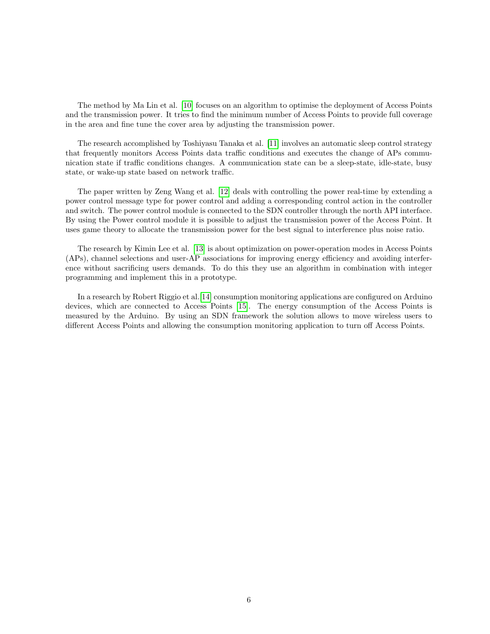<span id="page-7-0"></span>The method by Ma Lin et al. [\[10\]](#page-32-10) focuses on an algorithm to optimise the deployment of Access Points and the transmission power. It tries to find the minimum number of Access Points to provide full coverage in the area and fine tune the cover area by adjusting the transmission power.

The research accomplished by Toshiyasu Tanaka et al. [\[11\]](#page-32-11) involves an automatic sleep control strategy that frequently monitors Access Points data traffic conditions and executes the change of APs communication state if traffic conditions changes. A communication state can be a sleep-state, idle-state, busy state, or wake-up state based on network traffic.

The paper written by Zeng Wang et al. [\[12\]](#page-32-12) deals with controlling the power real-time by extending a power control message type for power control and adding a corresponding control action in the controller and switch. The power control module is connected to the SDN controller through the north API interface. By using the Power control module it is possible to adjust the transmission power of the Access Point. It uses game theory to allocate the transmission power for the best signal to interference plus noise ratio.

The research by Kimin Lee et al. [\[13\]](#page-32-13) is about optimization on power-operation modes in Access Points (APs), channel selections and user-AP associations for improving energy efficiency and avoiding interference without sacrificing users demands. To do this they use an algorithm in combination with integer programming and implement this in a prototype.

In a research by Robert Riggio et al.[\[14\]](#page-32-14) consumption monitoring applications are configured on Arduino devices, which are connected to Access Points [\[15\]](#page-32-15). The energy consumption of the Access Points is measured by the Arduino. By using an SDN framework the solution allows to move wireless users to different Access Points and allowing the consumption monitoring application to turn off Access Points.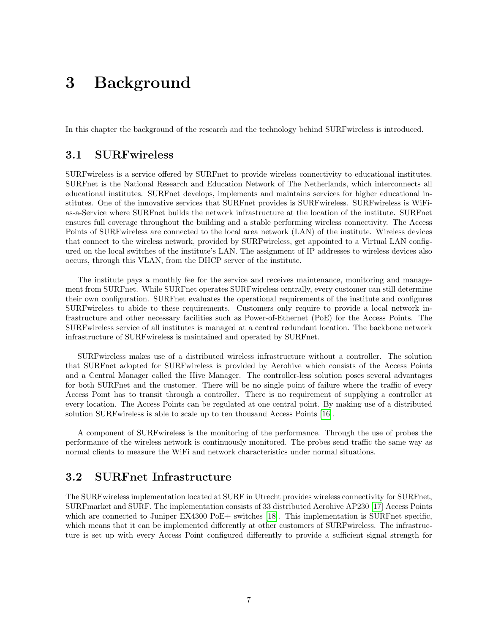# <span id="page-8-3"></span><span id="page-8-0"></span>3 Background

<span id="page-8-1"></span>In this chapter the background of the research and the technology behind SURFwireless is introduced.

#### 3.1 SURFwireless

SURFwireless is a service offered by SURFnet to provide wireless connectivity to educational institutes. SURFnet is the National Research and Education Network of The Netherlands, which interconnects all educational institutes. SURFnet develops, implements and maintains services for higher educational institutes. One of the innovative services that SURFnet provides is SURFwireless. SURFwireless is WiFias-a-Service where SURFnet builds the network infrastructure at the location of the institute. SURFnet ensures full coverage throughout the building and a stable performing wireless connectivity. The Access Points of SURFwireless are connected to the local area network (LAN) of the institute. Wireless devices that connect to the wireless network, provided by SURFwireless, get appointed to a Virtual LAN configured on the local switches of the institute's LAN. The assignment of IP addresses to wireless devices also occurs, through this VLAN, from the DHCP server of the institute.

The institute pays a monthly fee for the service and receives maintenance, monitoring and management from SURFnet. While SURFnet operates SURFwireless centrally, every customer can still determine their own configuration. SURFnet evaluates the operational requirements of the institute and configures SURFwireless to abide to these requirements. Customers only require to provide a local network infrastructure and other necessary facilities such as Power-of-Ethernet (PoE) for the Access Points. The SURFwireless service of all institutes is managed at a central redundant location. The backbone network infrastructure of SURFwireless is maintained and operated by SURFnet.

SURFwireless makes use of a distributed wireless infrastructure without a controller. The solution that SURFnet adopted for SURFwireless is provided by Aerohive which consists of the Access Points and a Central Manager called the Hive Manager. The controller-less solution poses several advantages for both SURFnet and the customer. There will be no single point of failure where the traffic of every Access Point has to transit through a controller. There is no requirement of supplying a controller at every location. The Access Points can be regulated at one central point. By making use of a distributed solution SURFwireless is able to scale up to ten thousand Access Points [\[16\]](#page-33-0).

A component of SURFwireless is the monitoring of the performance. Through the use of probes the performance of the wireless network is continuously monitored. The probes send traffic the same way as normal clients to measure the WiFi and network characteristics under normal situations.

### <span id="page-8-2"></span>3.2 SURFnet Infrastructure

The SURFwireless implementation located at SURF in Utrecht provides wireless connectivity for SURFnet, SURFmarket and SURF. The implementation consists of 33 distributed Aerohive AP230 [\[17\]](#page-33-1) Access Points which are connected to Juniper EX4300 PoE+ switches [\[18\]](#page-33-2). This implementation is SURFnet specific, which means that it can be implemented differently at other customers of SURFwireless. The infrastructure is set up with every Access Point configured differently to provide a sufficient signal strength for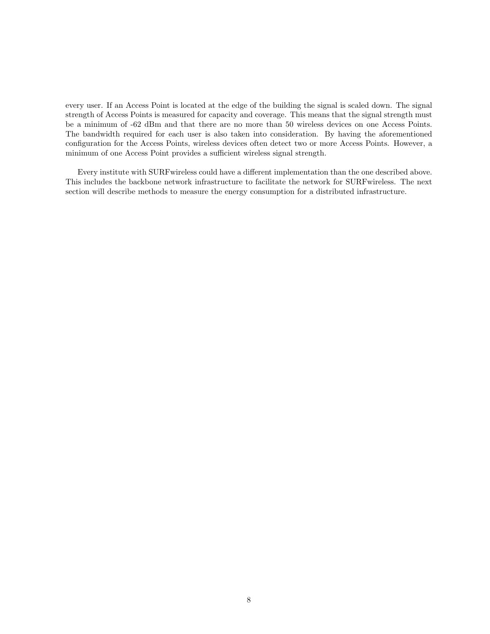every user. If an Access Point is located at the edge of the building the signal is scaled down. The signal strength of Access Points is measured for capacity and coverage. This means that the signal strength must be a minimum of -62 dBm and that there are no more than 50 wireless devices on one Access Points. The bandwidth required for each user is also taken into consideration. By having the aforementioned configuration for the Access Points, wireless devices often detect two or more Access Points. However, a minimum of one Access Point provides a sufficient wireless signal strength.

Every institute with SURFwireless could have a different implementation than the one described above. This includes the backbone network infrastructure to facilitate the network for SURFwireless. The next section will describe methods to measure the energy consumption for a distributed infrastructure.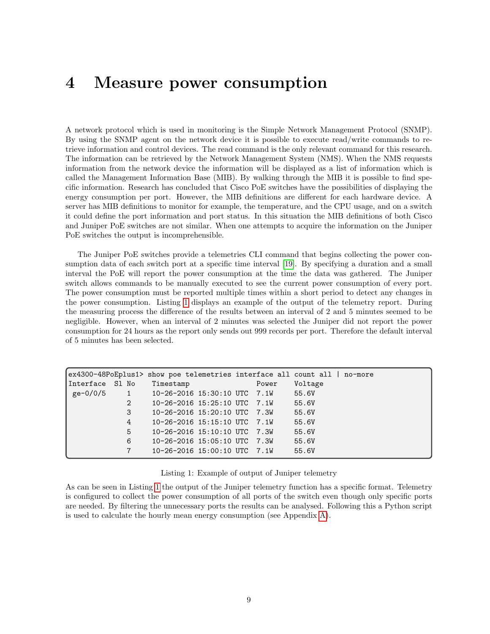# <span id="page-10-2"></span><span id="page-10-0"></span>4 Measure power consumption

A network protocol which is used in monitoring is the Simple Network Management Protocol (SNMP). By using the SNMP agent on the network device it is possible to execute read/write commands to retrieve information and control devices. The read command is the only relevant command for this research. The information can be retrieved by the Network Management System (NMS). When the NMS requests information from the network device the information will be displayed as a list of information which is called the Management Information Base (MIB). By walking through the MIB it is possible to find specific information. Research has concluded that Cisco PoE switches have the possibilities of displaying the energy consumption per port. However, the MIB definitions are different for each hardware device. A server has MIB definitions to monitor for example, the temperature, and the CPU usage, and on a switch it could define the port information and port status. In this situation the MIB definitions of both Cisco and Juniper PoE switches are not similar. When one attempts to acquire the information on the Juniper PoE switches the output is incomprehensible.

The Juniper PoE switches provide a telemetries CLI command that begins collecting the power consumption data of each switch port at a specific time interval [\[19\]](#page-33-3). By specifying a duration and a small interval the PoE will report the power consumption at the time the data was gathered. The Juniper switch allows commands to be manually executed to see the current power consumption of every port. The power consumption must be reported multiple times within a short period to detect any changes in the power consumption. Listing [1](#page-10-1) displays an example of the output of the telemetry report. During the measuring process the difference of the results between an interval of 2 and 5 minutes seemed to be negligible. However, when an interval of 2 minutes was selected the Juniper did not report the power consumption for 24 hours as the report only sends out 999 records per port. Therefore the default interval of 5 minutes has been selected.

|                 |                 | ex4300-48PoEplus1> show poe telemetries interface all count all   no-more |       |         |
|-----------------|-----------------|---------------------------------------------------------------------------|-------|---------|
| Interface S1 No |                 | Timestamp                                                                 | Power | Voltage |
|                 |                 | ge-0/0/5 1 10-26-2016 15:30:10 UTC 7.1W                                   |       | 55.6V   |
|                 | 2               | 10-26-2016 15:25:10 UTC 7.1W                                              |       | 55.6V   |
|                 | 3               | $10 - 26 - 2016$ $15:20:10$ UTC 7.3W                                      |       | 55.6V   |
|                 | 4               | $10-26-2016$ $15:15:10$ UTC $7.1W$                                        |       | 55.6V   |
|                 | 5               | $10 - 26 - 2016$ $15:10:10$ UTC 7.3W                                      |       | 55.6V   |
|                 | 6               | $10-26-2016$ $15:05:10$ UTC 7.3W                                          |       | 55.6V   |
|                 | $7\overline{ }$ | $10-26-2016$ $15:00:10$ UTC $7.1W$                                        |       | 55.6V   |

<span id="page-10-1"></span>Listing 1: Example of output of Juniper telemetry

As can be seen in Listing [1](#page-10-1) the output of the Juniper telemetry function has a specific format. Telemetry is configured to collect the power consumption of all ports of the switch even though only specific ports are needed. By filtering the unnecessary ports the results can be analysed. Following this a Python script is used to calculate the hourly mean energy consumption (see Appendix [A\)](#page-29-0).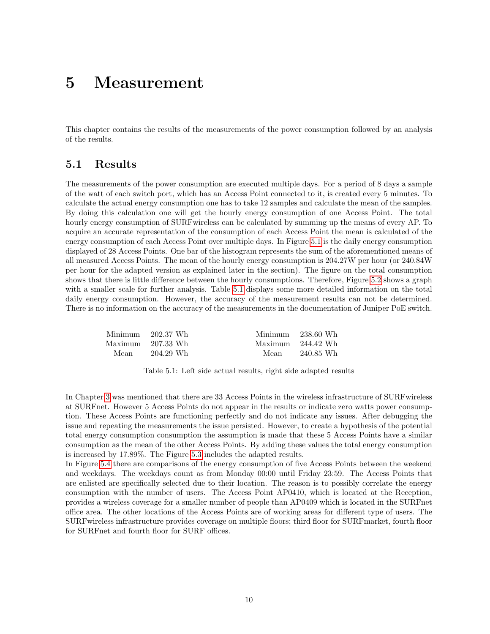# <span id="page-11-0"></span>5 Measurement

<span id="page-11-1"></span>This chapter contains the results of the measurements of the power consumption followed by an analysis of the results.

### 5.1 Results

The measurements of the power consumption are executed multiple days. For a period of 8 days a sample of the watt of each switch port, which has an Access Point connected to it, is created every 5 minutes. To calculate the actual energy consumption one has to take 12 samples and calculate the mean of the samples. By doing this calculation one will get the hourly energy consumption of one Access Point. The total hourly energy consumption of SURFwireless can be calculated by summing up the means of every AP. To acquire an accurate representation of the consumption of each Access Point the mean is calculated of the energy consumption of each Access Point over multiple days. In Figure [5.1](#page-12-0) is the daily energy consumption displayed of 28 Access Points. One bar of the histogram represents the sum of the aforementioned means of all measured Access Points. The mean of the hourly energy consumption is 204.27W per hour (or 240.84W per hour for the adapted version as explained later in the section). The figure on the total consumption shows that there is little difference between the hourly consumptions. Therefore, Figure [5.2](#page-12-1) shows a graph with a smaller scale for further analysis. Table [5.1](#page-11-2) displays some more detailed information on the total daily energy consumption. However, the accuracy of the measurement results can not be determined. There is no information on the accuracy of the measurements in the documentation of Juniper PoE switch.

<span id="page-11-2"></span>

| Minimum $\vert$ 202.37 Wh | Minimum $\vert$ 238.60 Wh                  |
|---------------------------|--------------------------------------------|
| Maximum $\vert$ 207.33 Wh | Maximum $\frac{1244.42 \text{ Wh}}{244.2}$ |
| Mean $\vert$ 204.29 Wh    | Mean $\qquad$ 240.85 Wh                    |

Table 5.1: Left side actual results, right side adapted results

In Chapter [3](#page-8-0) was mentioned that there are 33 Access Points in the wireless infrastructure of SURFwireless at SURFnet. However 5 Access Points do not appear in the results or indicate zero watts power consumption. These Access Points are functioning perfectly and do not indicate any issues. After debugging the issue and repeating the measurements the issue persisted. However, to create a hypothesis of the potential total energy consumption consumption the assumption is made that these 5 Access Points have a similar consumption as the mean of the other Access Points. By adding these values the total energy consumption is increased by 17.89%. The Figure [5.3](#page-12-2) includes the adapted results.

In Figure [5.4](#page-13-0) there are comparisons of the energy consumption of five Access Points between the weekend and weekdays. The weekdays count as from Monday 00:00 until Friday 23:59. The Access Points that are enlisted are specifically selected due to their location. The reason is to possibly correlate the energy consumption with the number of users. The Access Point AP0410, which is located at the Reception, provides a wireless coverage for a smaller number of people than AP0409 which is located in the SURFnet office area. The other locations of the Access Points are of working areas for different type of users. The SURFwireless infrastructure provides coverage on multiple floors; third floor for SURFmarket, fourth floor for SURFnet and fourth floor for SURF offices.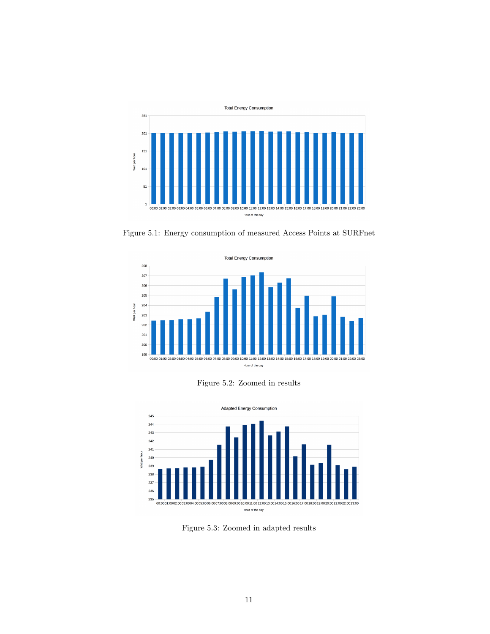<span id="page-12-0"></span>

Figure 5.1: Energy consumption of measured Access Points at SURFnet

<span id="page-12-1"></span>

Figure 5.2: Zoomed in results

<span id="page-12-2"></span>

Figure 5.3: Zoomed in adapted results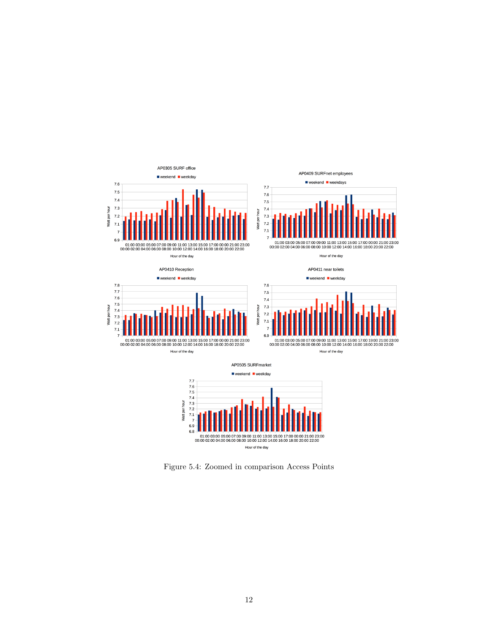<span id="page-13-0"></span>

Figure 5.4: Zoomed in comparison Access Points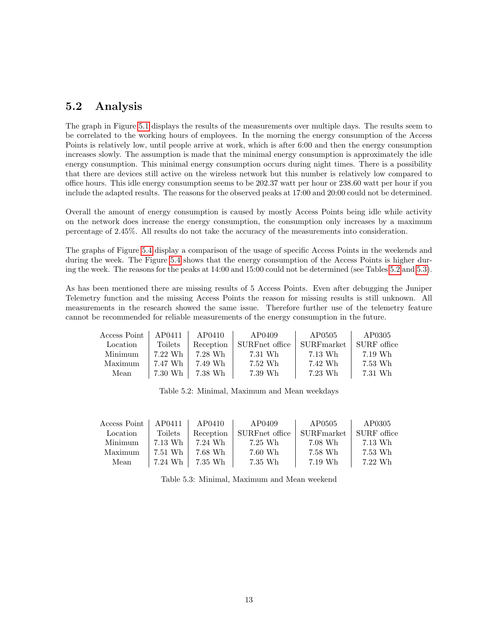### <span id="page-14-0"></span>5.2 Analysis

The graph in Figure [5.1](#page-12-0) displays the results of the measurements over multiple days. The results seem to be correlated to the working hours of employees. In the morning the energy consumption of the Access Points is relatively low, until people arrive at work, which is after 6:00 and then the energy consumption increases slowly. The assumption is made that the minimal energy consumption is approximately the idle energy consumption. This minimal energy consumption occurs during night times. There is a possibility that there are devices still active on the wireless network but this number is relatively low compared to office hours. This idle energy consumption seems to be 202.37 watt per hour or 238.60 watt per hour if you include the adapted results. The reasons for the observed peaks at 17:00 and 20:00 could not be determined.

Overall the amount of energy consumption is caused by mostly Access Points being idle while activity on the network does increase the energy consumption, the consumption only increases by a maximum percentage of 2.45%. All results do not take the accuracy of the measurements into consideration.

The graphs of Figure [5.4](#page-13-0) display a comparison of the usage of specific Access Points in the weekends and during the week. The Figure [5.4](#page-13-0) shows that the energy consumption of the Access Points is higher during the week. The reasons for the peaks at 14:00 and 15:00 could not be determined (see Tables [5.2](#page-14-1) and [5.3\)](#page-14-2).

As has been mentioned there are missing results of 5 Access Points. Even after debugging the Juniper Telemetry function and the missing Access Points the reason for missing results is still unknown. All measurements in the research showed the same issue. Therefore further use of the telemetry feature cannot be recommended for reliable measurements of the energy consumption in the future.

<span id="page-14-1"></span>

| Access Point | AP0411  | AP0410    | AP0409         | AP0505               | AP0305      |
|--------------|---------|-----------|----------------|----------------------|-------------|
| Location     | Toilets | Reception | SURFnet office | $\text{SURF}$ market | SURF office |
| Minimum      | 7.22 Wh | 7.28 Wh   | 7.31 Wh        | 7.13 Wh              | 7.19 Wh     |
| Maximum      | 7.47 Wh | 7.49 Wh   | 7.52 Wh        | 7.42 Wh              | 7.53 Wh     |
| Mean         | 7.30 Wh | 7.38 Wh   | 7.39 Wh        | 7.23 Wh              | 7.31 Wh     |

Table 5.2: Minimal, Maximum and Mean weekdays

<span id="page-14-2"></span>

| Access Point | AP0411  | AP0410    | AP0409         | AP0505               | AP0305      |
|--------------|---------|-----------|----------------|----------------------|-------------|
| Location     | Toilets | Reception | SURFnet office | $\text{SURF}$ market | SURF office |
| Minimum      | 7.13 Wh | 7.24 Wh   | 7.25 Wh        | 7.08 Wh              | 7.13 Wh     |
| Maximum      | 7.51 Wh | 7.68 Wh   | 7.60 Wh        | 7.58 Wh              | 7.53 Wh     |
| Mean         | 7.24 Wh | 7.35 Wh   | 7.35 Wh        | 7.19 Wh              | 7.22 Wh     |

Table 5.3: Minimal, Maximum and Mean weekend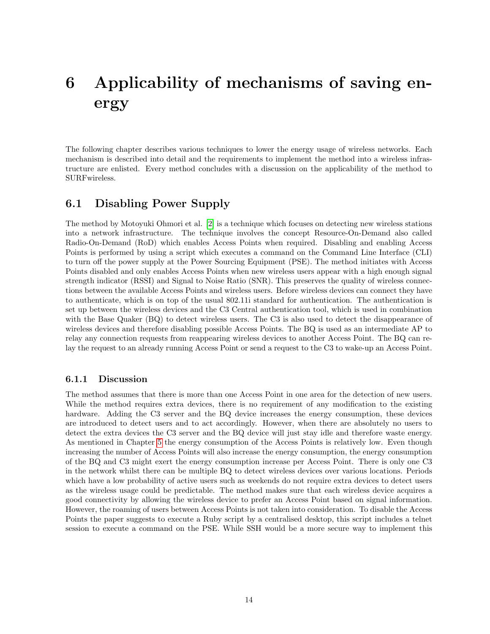# <span id="page-15-3"></span><span id="page-15-0"></span>6 Applicability of mechanisms of saving energy

The following chapter describes various techniques to lower the energy usage of wireless networks. Each mechanism is described into detail and the requirements to implement the method into a wireless infrastructure are enlisted. Every method concludes with a discussion on the applicability of the method to SURFwireless.

#### <span id="page-15-1"></span>6.1 Disabling Power Supply

The method by Motoyuki Ohmori et al. [\[2\]](#page-32-2) is a technique which focuses on detecting new wireless stations into a network infrastructure. The technique involves the concept Resource-On-Demand also called Radio-On-Demand (RoD) which enables Access Points when required. Disabling and enabling Access Points is performed by using a script which executes a command on the Command Line Interface (CLI) to turn off the power supply at the Power Sourcing Equipment (PSE). The method initiates with Access Points disabled and only enables Access Points when new wireless users appear with a high enough signal strength indicator (RSSI) and Signal to Noise Ratio (SNR). This preserves the quality of wireless connections between the available Access Points and wireless users. Before wireless devices can connect they have to authenticate, which is on top of the usual 802.11i standard for authentication. The authentication is set up between the wireless devices and the C3 Central authentication tool, which is used in combination with the Base Quaker (BQ) to detect wireless users. The C3 is also used to detect the disappearance of wireless devices and therefore disabling possible Access Points. The BQ is used as an intermediate AP to relay any connection requests from reappearing wireless devices to another Access Point. The BQ can relay the request to an already running Access Point or send a request to the C3 to wake-up an Access Point.

#### <span id="page-15-2"></span>6.1.1 Discussion

The method assumes that there is more than one Access Point in one area for the detection of new users. While the method requires extra devices, there is no requirement of any modification to the existing hardware. Adding the C3 server and the BQ device increases the energy consumption, these devices are introduced to detect users and to act accordingly. However, when there are absolutely no users to detect the extra devices the C3 server and the BQ device will just stay idle and therefore waste energy. As mentioned in Chapter [5](#page-11-0) the energy consumption of the Access Points is relatively low. Even though increasing the number of Access Points will also increase the energy consumption, the energy consumption of the BQ and C3 might exert the energy consumption increase per Access Point. There is only one C3 in the network whilst there can be multiple BQ to detect wireless devices over various locations. Periods which have a low probability of active users such as weekends do not require extra devices to detect users as the wireless usage could be predictable. The method makes sure that each wireless device acquires a good connectivity by allowing the wireless device to prefer an Access Point based on signal information. However, the roaming of users between Access Points is not taken into consideration. To disable the Access Points the paper suggests to execute a Ruby script by a centralised desktop, this script includes a telnet session to execute a command on the PSE. While SSH would be a more secure way to implement this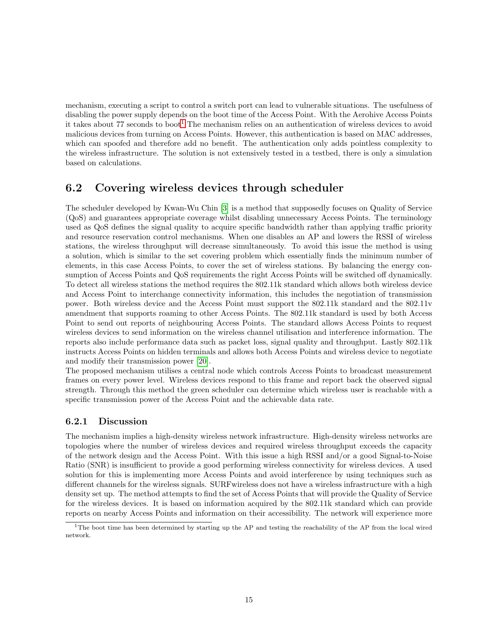<span id="page-16-3"></span>mechanism, executing a script to control a switch port can lead to vulnerable situations. The usefulness of disabling the power supply depends on the boot time of the Access Point. With the Aerohive Access Points it takes about 77 seconds to boot<sup>[1](#page-16-2)</sup> The mechanism relies on an authentication of wireless devices to avoid malicious devices from turning on Access Points. However, this authentication is based on MAC addresses, which can spoofed and therefore add no benefit. The authentication only adds pointless complexity to the wireless infrastructure. The solution is not extensively tested in a testbed, there is only a simulation based on calculations.

#### <span id="page-16-0"></span>6.2 Covering wireless devices through scheduler

The scheduler developed by Kwan-Wu Chin [\[3\]](#page-32-3) is a method that supposedly focuses on Quality of Service (QoS) and guarantees appropriate coverage whilst disabling unnecessary Access Points. The terminology used as QoS defines the signal quality to acquire specific bandwidth rather than applying traffic priority and resource reservation control mechanisms. When one disables an AP and lowers the RSSI of wireless stations, the wireless throughput will decrease simultaneously. To avoid this issue the method is using a solution, which is similar to the set covering problem which essentially finds the minimum number of elements, in this case Access Points, to cover the set of wireless stations. By balancing the energy consumption of Access Points and QoS requirements the right Access Points will be switched off dynamically. To detect all wireless stations the method requires the 802.11k standard which allows both wireless device and Access Point to interchange connectivity information, this includes the negotiation of transmission power. Both wireless device and the Access Point must support the 802.11k standard and the 802.11v amendment that supports roaming to other Access Points. The 802.11k standard is used by both Access Point to send out reports of neighbouring Access Points. The standard allows Access Points to request wireless devices to send information on the wireless channel utilisation and interference information. The reports also include performance data such as packet loss, signal quality and throughput. Lastly 802.11k instructs Access Points on hidden terminals and allows both Access Points and wireless device to negotiate and modify their transmission power [\[20\]](#page-33-4).

The proposed mechanism utilises a central node which controls Access Points to broadcast measurement frames on every power level. Wireless devices respond to this frame and report back the observed signal strength. Through this method the green scheduler can determine which wireless user is reachable with a specific transmission power of the Access Point and the achievable data rate.

#### <span id="page-16-1"></span>6.2.1 Discussion

The mechanism implies a high-density wireless network infrastructure. High-density wireless networks are topologies where the number of wireless devices and required wireless throughput exceeds the capacity of the network design and the Access Point. With this issue a high RSSI and/or a good Signal-to-Noise Ratio (SNR) is insufficient to provide a good performing wireless connectivity for wireless devices. A used solution for this is implementing more Access Points and avoid interference by using techniques such as different channels for the wireless signals. SURFwireless does not have a wireless infrastructure with a high density set up. The method attempts to find the set of Access Points that will provide the Quality of Service for the wireless devices. It is based on information acquired by the 802.11k standard which can provide reports on nearby Access Points and information on their accessibility. The network will experience more

<span id="page-16-2"></span> $1$ The boot time has been determined by starting up the AP and testing the reachability of the AP from the local wired network.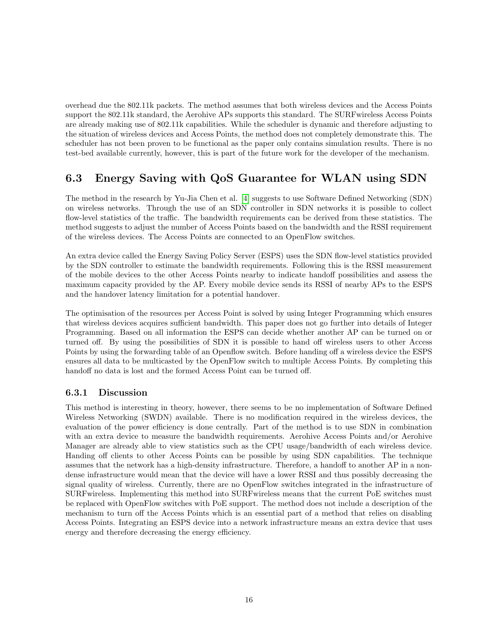<span id="page-17-3"></span>overhead due the 802.11k packets. The method assumes that both wireless devices and the Access Points support the 802.11k standard, the Aerohive APs supports this standard. The SURFwireless Access Points are already making use of 802.11k capabilities. While the scheduler is dynamic and therefore adjusting to the situation of wireless devices and Access Points, the method does not completely demonstrate this. The scheduler has not been proven to be functional as the paper only contains simulation results. There is no test-bed available currently, however, this is part of the future work for the developer of the mechanism.

## <span id="page-17-0"></span>6.3 Energy Saving with QoS Guarantee for WLAN using SDN

The method in the research by Yu-Jia Chen et al. [\[4\]](#page-32-4) suggests to use Software Defined Networking (SDN) on wireless networks. Through the use of an SDN controller in SDN networks it is possible to collect flow-level statistics of the traffic. The bandwidth requirements can be derived from these statistics. The method suggests to adjust the number of Access Points based on the bandwidth and the RSSI requirement of the wireless devices. The Access Points are connected to an OpenFlow switches.

An extra device called the Energy Saving Policy Server (ESPS) uses the SDN flow-level statistics provided by the SDN controller to estimate the bandwidth requirements. Following this is the RSSI measurement of the mobile devices to the other Access Points nearby to indicate handoff possibilities and assess the maximum capacity provided by the AP. Every mobile device sends its RSSI of nearby APs to the ESPS and the handover latency limitation for a potential handover.

The optimisation of the resources per Access Point is solved by using Integer Programming which ensures that wireless devices acquires sufficient bandwidth. This paper does not go further into details of Integer Programming. Based on all information the ESPS can decide whether another AP can be turned on or turned off. By using the possibilities of SDN it is possible to hand off wireless users to other Access Points by using the forwarding table of an Openflow switch. Before handing off a wireless device the ESPS ensures all data to be multicasted by the OpenFlow switch to multiple Access Points. By completing this handoff no data is lost and the formed Access Point can be turned off.

#### <span id="page-17-1"></span>6.3.1 Discussion

<span id="page-17-2"></span>This method is interesting in theory, however, there seems to be no implementation of Software Defined Wireless Networking (SWDN) available. There is no modification required in the wireless devices, the evaluation of the power efficiency is done centrally. Part of the method is to use SDN in combination with an extra device to measure the bandwidth requirements. Aerohive Access Points and/or Aerohive Manager are already able to view statistics such as the CPU usage/bandwidth of each wireless device. Handing off clients to other Access Points can be possible by using SDN capabilities. The technique assumes that the network has a high-density infrastructure. Therefore, a handoff to another AP in a nondense infrastructure would mean that the device will have a lower RSSI and thus possibly decreasing the signal quality of wireless. Currently, there are no OpenFlow switches integrated in the infrastructure of SURFwireless. Implementing this method into SURFwireless means that the current PoE switches must be replaced with OpenFlow switches with PoE support. The method does not include a description of the mechanism to turn off the Access Points which is an essential part of a method that relies on disabling Access Points. Integrating an ESPS device into a network infrastructure means an extra device that uses energy and therefore decreasing the energy efficiency.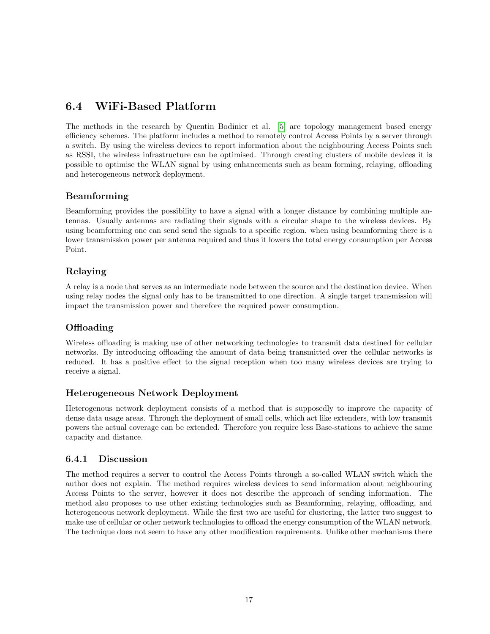## <span id="page-18-1"></span>6.4 WiFi-Based Platform

The methods in the research by Quentin Bodinier et al. [\[5\]](#page-32-5) are topology management based energy efficiency schemes. The platform includes a method to remotely control Access Points by a server through a switch. By using the wireless devices to report information about the neighbouring Access Points such as RSSI, the wireless infrastructure can be optimised. Through creating clusters of mobile devices it is possible to optimise the WLAN signal by using enhancements such as beam forming, relaying, offloading and heterogeneous network deployment.

#### Beamforming

Beamforming provides the possibility to have a signal with a longer distance by combining multiple antennas. Usually antennas are radiating their signals with a circular shape to the wireless devices. By using beamforming one can send send the signals to a specific region. when using beamforming there is a lower transmission power per antenna required and thus it lowers the total energy consumption per Access Point.

#### Relaying

A relay is a node that serves as an intermediate node between the source and the destination device. When using relay nodes the signal only has to be transmitted to one direction. A single target transmission will impact the transmission power and therefore the required power consumption.

#### Offloading

Wireless offloading is making use of other networking technologies to transmit data destined for cellular networks. By introducing offloading the amount of data being transmitted over the cellular networks is reduced. It has a positive effect to the signal reception when too many wireless devices are trying to receive a signal.

#### Heterogeneous Network Deployment

Heterogenous network deployment consists of a method that is supposedly to improve the capacity of dense data usage areas. Through the deployment of small cells, which act like extenders, with low transmit powers the actual coverage can be extended. Therefore you require less Base-stations to achieve the same capacity and distance.

#### <span id="page-18-0"></span>6.4.1 Discussion

The method requires a server to control the Access Points through a so-called WLAN switch which the author does not explain. The method requires wireless devices to send information about neighbouring Access Points to the server, however it does not describe the approach of sending information. The method also proposes to use other existing technologies such as Beamforming, relaying, offloading, and heterogeneous network deployment. While the first two are useful for clustering, the latter two suggest to make use of cellular or other network technologies to offload the energy consumption of the WLAN network. The technique does not seem to have any other modification requirements. Unlike other mechanisms there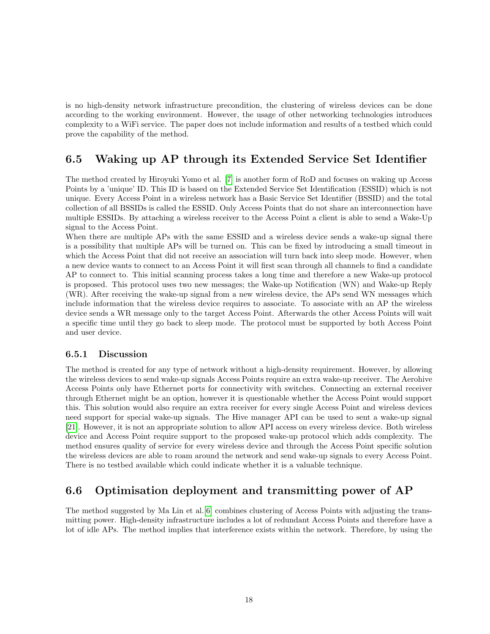<span id="page-19-3"></span>is no high-density network infrastructure precondition, the clustering of wireless devices can be done according to the working environment. However, the usage of other networking technologies introduces complexity to a WiFi service. The paper does not include information and results of a testbed which could prove the capability of the method.

### <span id="page-19-0"></span>6.5 Waking up AP through its Extended Service Set Identifier

The method created by Hiroyuki Yomo et al. [\[7\]](#page-32-7) is another form of RoD and focuses on waking up Access Points by a 'unique' ID. This ID is based on the Extended Service Set Identification (ESSID) which is not unique. Every Access Point in a wireless network has a Basic Service Set Identifier (BSSID) and the total collection of all BSSIDs is called the ESSID. Only Access Points that do not share an interconnection have multiple ESSIDs. By attaching a wireless receiver to the Access Point a client is able to send a Wake-Up signal to the Access Point.

When there are multiple APs with the same ESSID and a wireless device sends a wake-up signal there is a possibility that multiple APs will be turned on. This can be fixed by introducing a small timeout in which the Access Point that did not receive an association will turn back into sleep mode. However, when a new device wants to connect to an Access Point it will first scan through all channels to find a candidate AP to connect to. This initial scanning process takes a long time and therefore a new Wake-up protocol is proposed. This protocol uses two new messages; the Wake-up Notification (WN) and Wake-up Reply (WR). After receiving the wake-up signal from a new wireless device, the APs send WN messages which include information that the wireless device requires to associate. To associate with an AP the wireless device sends a WR message only to the target Access Point. Afterwards the other Access Points will wait a specific time until they go back to sleep mode. The protocol must be supported by both Access Point and user device.

#### <span id="page-19-1"></span>6.5.1 Discussion

The method is created for any type of network without a high-density requirement. However, by allowing the wireless devices to send wake-up signals Access Points require an extra wake-up receiver. The Aerohive Access Points only have Ethernet ports for connectivity with switches. Connecting an external receiver through Ethernet might be an option, however it is questionable whether the Access Point would support this. This solution would also require an extra receiver for every single Access Point and wireless devices need support for special wake-up signals. The Hive manager API can be used to sent a wake-up signal [\[21\]](#page-33-5). However, it is not an appropriate solution to allow API access on every wireless device. Both wireless device and Access Point require support to the proposed wake-up protocol which adds complexity. The method ensures quality of service for every wireless device and through the Access Point specific solution the wireless devices are able to roam around the network and send wake-up signals to every Access Point. There is no testbed available which could indicate whether it is a valuable technique.

### <span id="page-19-2"></span>6.6 Optimisation deployment and transmitting power of AP

The method suggested by Ma Lin et al.[\[6\]](#page-32-6) combines clustering of Access Points with adjusting the transmitting power. High-density infrastructure includes a lot of redundant Access Points and therefore have a lot of idle APs. The method implies that interference exists within the network. Therefore, by using the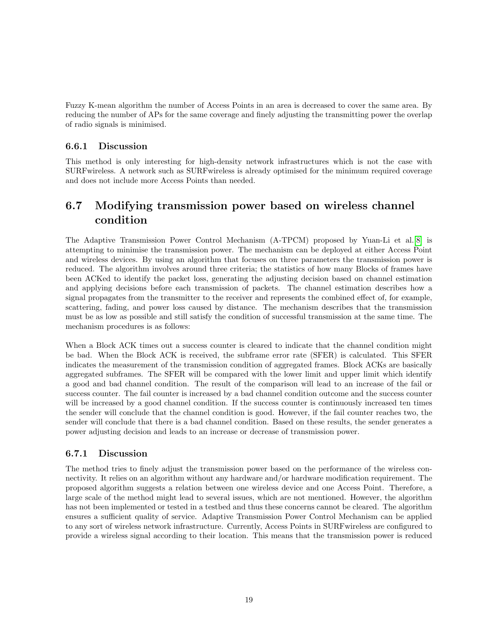<span id="page-20-3"></span>Fuzzy K-mean algorithm the number of Access Points in an area is decreased to cover the same area. By reducing the number of APs for the same coverage and finely adjusting the transmitting power the overlap of radio signals is minimised.

#### <span id="page-20-0"></span>6.6.1 Discussion

This method is only interesting for high-density network infrastructures which is not the case with SURFwireless. A network such as SURFwireless is already optimised for the minimum required coverage and does not include more Access Points than needed.

## <span id="page-20-1"></span>6.7 Modifying transmission power based on wireless channel condition

The Adaptive Transmission Power Control Mechanism (A-TPCM) proposed by Yuan-Li et al.[\[8\]](#page-32-8) is attempting to minimise the transmission power. The mechanism can be deployed at either Access Point and wireless devices. By using an algorithm that focuses on three parameters the transmission power is reduced. The algorithm involves around three criteria; the statistics of how many Blocks of frames have been ACKed to identify the packet loss, generating the adjusting decision based on channel estimation and applying decisions before each transmission of packets. The channel estimation describes how a signal propagates from the transmitter to the receiver and represents the combined effect of, for example, scattering, fading, and power loss caused by distance. The mechanism describes that the transmission must be as low as possible and still satisfy the condition of successful transmission at the same time. The mechanism procedures is as follows:

When a Block ACK times out a success counter is cleared to indicate that the channel condition might be bad. When the Block ACK is received, the subframe error rate (SFER) is calculated. This SFER indicates the measurement of the transmission condition of aggregated frames. Block ACKs are basically aggregated subframes. The SFER will be compared with the lower limit and upper limit which identify a good and bad channel condition. The result of the comparison will lead to an increase of the fail or success counter. The fail counter is increased by a bad channel condition outcome and the success counter will be increased by a good channel condition. If the success counter is continuously increased ten times the sender will conclude that the channel condition is good. However, if the fail counter reaches two, the sender will conclude that there is a bad channel condition. Based on these results, the sender generates a power adjusting decision and leads to an increase or decrease of transmission power.

#### <span id="page-20-2"></span>6.7.1 Discussion

The method tries to finely adjust the transmission power based on the performance of the wireless connectivity. It relies on an algorithm without any hardware and/or hardware modification requirement. The proposed algorithm suggests a relation between one wireless device and one Access Point. Therefore, a large scale of the method might lead to several issues, which are not mentioned. However, the algorithm has not been implemented or tested in a testbed and thus these concerns cannot be cleared. The algorithm ensures a sufficient quality of service. Adaptive Transmission Power Control Mechanism can be applied to any sort of wireless network infrastructure. Currently, Access Points in SURFwireless are configured to provide a wireless signal according to their location. This means that the transmission power is reduced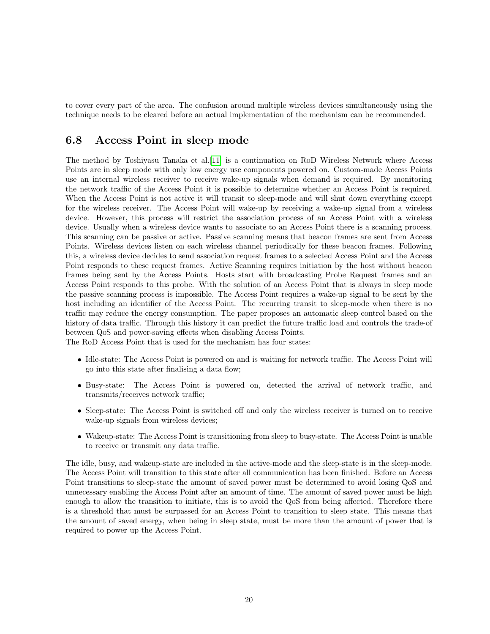<span id="page-21-1"></span>to cover every part of the area. The confusion around multiple wireless devices simultaneously using the technique needs to be cleared before an actual implementation of the mechanism can be recommended.

#### <span id="page-21-0"></span>6.8 Access Point in sleep mode

The method by Toshiyasu Tanaka et al.[\[11\]](#page-32-11) is a continuation on RoD Wireless Network where Access Points are in sleep mode with only low energy use components powered on. Custom-made Access Points use an internal wireless receiver to receive wake-up signals when demand is required. By monitoring the network traffic of the Access Point it is possible to determine whether an Access Point is required. When the Access Point is not active it will transit to sleep-mode and will shut down everything except for the wireless receiver. The Access Point will wake-up by receiving a wake-up signal from a wireless device. However, this process will restrict the association process of an Access Point with a wireless device. Usually when a wireless device wants to associate to an Access Point there is a scanning process. This scanning can be passive or active. Passive scanning means that beacon frames are sent from Access Points. Wireless devices listen on each wireless channel periodically for these beacon frames. Following this, a wireless device decides to send association request frames to a selected Access Point and the Access Point responds to these request frames. Active Scanning requires initiation by the host without beacon frames being sent by the Access Points. Hosts start with broadcasting Probe Request frames and an Access Point responds to this probe. With the solution of an Access Point that is always in sleep mode the passive scanning process is impossible. The Access Point requires a wake-up signal to be sent by the host including an identifier of the Access Point. The recurring transit to sleep-mode when there is no traffic may reduce the energy consumption. The paper proposes an automatic sleep control based on the history of data traffic. Through this history it can predict the future traffic load and controls the trade-of between QoS and power-saving effects when disabling Access Points.

The RoD Access Point that is used for the mechanism has four states:

- Idle-state: The Access Point is powered on and is waiting for network traffic. The Access Point will go into this state after finalising a data flow;
- Busy-state: The Access Point is powered on, detected the arrival of network traffic, and transmits/receives network traffic;
- Sleep-state: The Access Point is switched off and only the wireless receiver is turned on to receive wake-up signals from wireless devices;
- Wakeup-state: The Access Point is transitioning from sleep to busy-state. The Access Point is unable to receive or transmit any data traffic.

The idle, busy, and wakeup-state are included in the active-mode and the sleep-state is in the sleep-mode. The Access Point will transition to this state after all communication has been finished. Before an Access Point transitions to sleep-state the amount of saved power must be determined to avoid losing QoS and unnecessary enabling the Access Point after an amount of time. The amount of saved power must be high enough to allow the transition to initiate, this is to avoid the QoS from being affected. Therefore there is a threshold that must be surpassed for an Access Point to transition to sleep state. This means that the amount of saved energy, when being in sleep state, must be more than the amount of power that is required to power up the Access Point.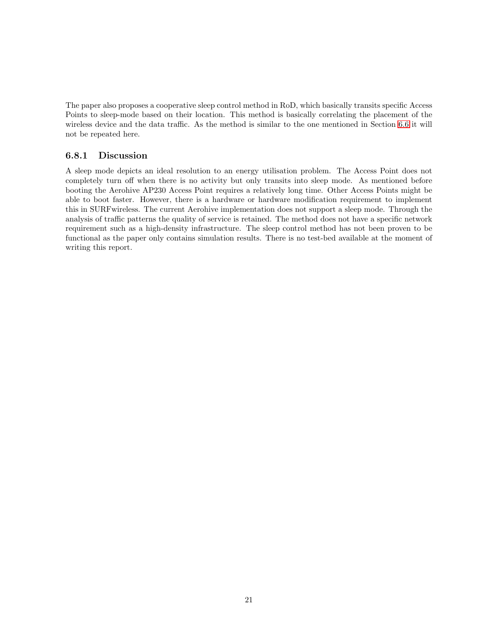The paper also proposes a cooperative sleep control method in RoD, which basically transits specific Access Points to sleep-mode based on their location. This method is basically correlating the placement of the wireless device and the data traffic. As the method is similar to the one mentioned in Section [6.6](#page-19-2) it will not be repeated here.

#### <span id="page-22-0"></span>6.8.1 Discussion

A sleep mode depicts an ideal resolution to an energy utilisation problem. The Access Point does not completely turn off when there is no activity but only transits into sleep mode. As mentioned before booting the Aerohive AP230 Access Point requires a relatively long time. Other Access Points might be able to boot faster. However, there is a hardware or hardware modification requirement to implement this in SURFwireless. The current Aerohive implementation does not support a sleep mode. Through the analysis of traffic patterns the quality of service is retained. The method does not have a specific network requirement such as a high-density infrastructure. The sleep control method has not been proven to be functional as the paper only contains simulation results. There is no test-bed available at the moment of writing this report.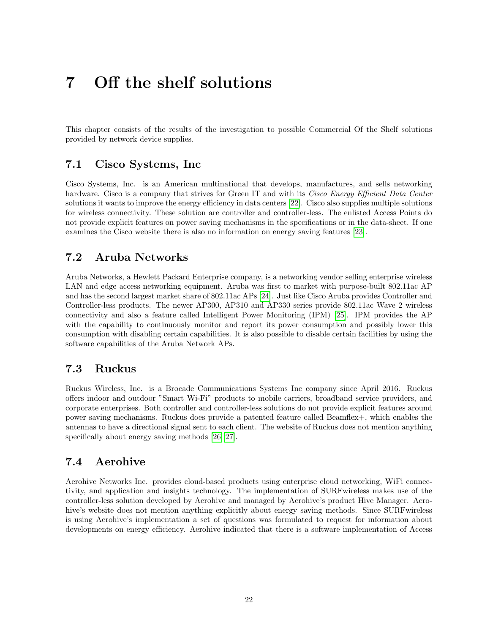# <span id="page-23-5"></span><span id="page-23-0"></span>7 Off the shelf solutions

This chapter consists of the results of the investigation to possible Commercial Of the Shelf solutions provided by network device supplies.

### <span id="page-23-1"></span>7.1 Cisco Systems, Inc

Cisco Systems, Inc. is an American multinational that develops, manufactures, and sells networking hardware. Cisco is a company that strives for Green IT and with its Cisco Energy Efficient Data Center solutions it wants to improve the energy efficiency in data centers [\[22\]](#page-33-6). Cisco also supplies multiple solutions for wireless connectivity. These solution are controller and controller-less. The enlisted Access Points do not provide explicit features on power saving mechanisms in the specifications or in the data-sheet. If one examines the Cisco website there is also no information on energy saving features [\[23\]](#page-33-7).

### <span id="page-23-2"></span>7.2 Aruba Networks

Aruba Networks, a Hewlett Packard Enterprise company, is a networking vendor selling enterprise wireless LAN and edge access networking equipment. Aruba was first to market with purpose-built 802.11ac AP and has the second largest market share of 802.11ac APs [\[24\]](#page-33-8). Just like Cisco Aruba provides Controller and Controller-less products. The newer AP300, AP310 and AP330 series provide 802.11ac Wave 2 wireless connectivity and also a feature called Intelligent Power Monitoring (IPM) [\[25\]](#page-33-9). IPM provides the AP with the capability to continuously monitor and report its power consumption and possibly lower this consumption with disabling certain capabilities. It is also possible to disable certain facilities by using the software capabilities of the Aruba Network APs.

### <span id="page-23-3"></span>7.3 Ruckus

Ruckus Wireless, Inc. is a Brocade Communications Systems Inc company since April 2016. Ruckus offers indoor and outdoor "Smart Wi-Fi" products to mobile carriers, broadband service providers, and corporate enterprises. Both controller and controller-less solutions do not provide explicit features around power saving mechanisms. Ruckus does provide a patented feature called Beamflex+, which enables the antennas to have a directional signal sent to each client. The website of Ruckus does not mention anything specifically about energy saving methods [\[26\]](#page-33-10)[\[27\]](#page-33-11).

### <span id="page-23-4"></span>7.4 Aerohive

Aerohive Networks Inc. provides cloud-based products using enterprise cloud networking, WiFi connectivity, and application and insights technology. The implementation of SURFwireless makes use of the controller-less solution developed by Aerohive and managed by Aerohive's product Hive Manager. Aerohive's website does not mention anything explicitly about energy saving methods. Since SURFwireless is using Aerohive's implementation a set of questions was formulated to request for information about developments on energy efficiency. Aerohive indicated that there is a software implementation of Access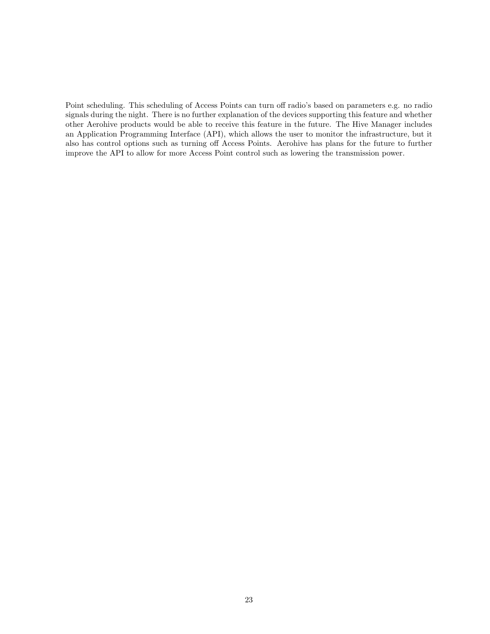Point scheduling. This scheduling of Access Points can turn off radio's based on parameters e.g. no radio signals during the night. There is no further explanation of the devices supporting this feature and whether other Aerohive products would be able to receive this feature in the future. The Hive Manager includes an Application Programming Interface (API), which allows the user to monitor the infrastructure, but it also has control options such as turning off Access Points. Aerohive has plans for the future to further improve the API to allow for more Access Point control such as lowering the transmission power.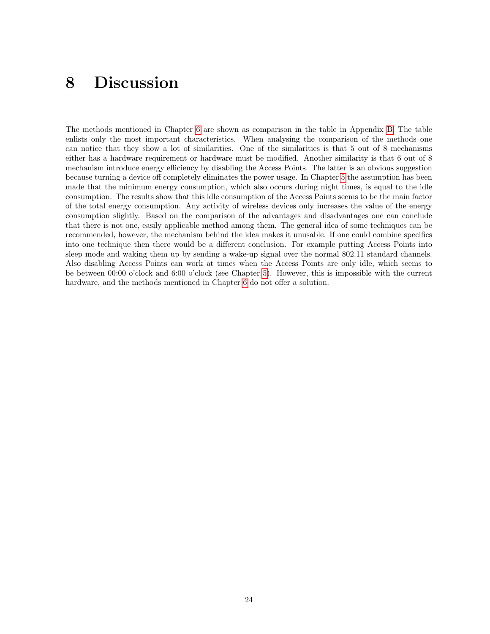# <span id="page-25-0"></span>8 Discussion

The methods mentioned in Chapter [6](#page-15-0) are shown as comparison in the table in Appendix [B.](#page-30-0) The table enlists only the most important characteristics. When analysing the comparison of the methods one can notice that they show a lot of similarities. One of the similarities is that 5 out of 8 mechanisms either has a hardware requirement or hardware must be modified. Another similarity is that 6 out of 8 mechanism introduce energy efficiency by disabling the Access Points. The latter is an obvious suggestion because turning a device off completely eliminates the power usage. In Chapter [5](#page-11-0) the assumption has been made that the minimum energy consumption, which also occurs during night times, is equal to the idle consumption. The results show that this idle consumption of the Access Points seems to be the main factor of the total energy consumption. Any activity of wireless devices only increases the value of the energy consumption slightly. Based on the comparison of the advantages and disadvantages one can conclude that there is not one, easily applicable method among them. The general idea of some techniques can be recommended, however, the mechanism behind the idea makes it unusable. If one could combine specifics into one technique then there would be a different conclusion. For example putting Access Points into sleep mode and waking them up by sending a wake-up signal over the normal 802.11 standard channels. Also disabling Access Points can work at times when the Access Points are only idle, which seems to be between 00:00 o'clock and 6:00 o'clock (see Chapter [5\)](#page-11-0). However, this is impossible with the current hardware, and the methods mentioned in Chapter [6](#page-15-0) do not offer a solution.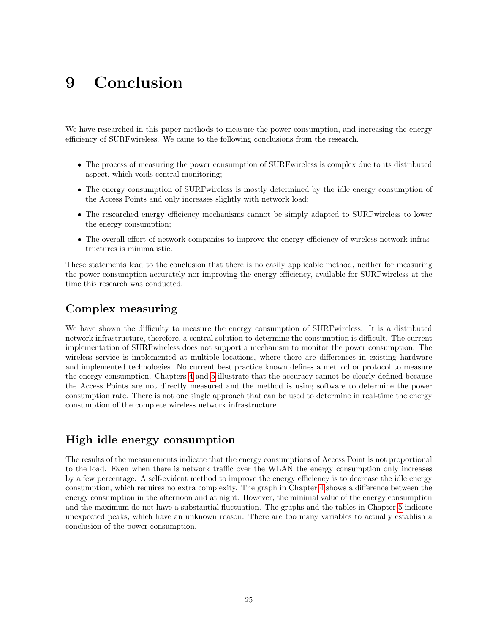# <span id="page-26-0"></span>9 Conclusion

We have researched in this paper methods to measure the power consumption, and increasing the energy efficiency of SURFwireless. We came to the following conclusions from the research.

- The process of measuring the power consumption of SURFwireless is complex due to its distributed aspect, which voids central monitoring;
- The energy consumption of SURFwireless is mostly determined by the idle energy consumption of the Access Points and only increases slightly with network load;
- The researched energy efficiency mechanisms cannot be simply adapted to SURFwireless to lower the energy consumption;
- The overall effort of network companies to improve the energy efficiency of wireless network infrastructures is minimalistic.

These statements lead to the conclusion that there is no easily applicable method, neither for measuring the power consumption accurately nor improving the energy efficiency, available for SURFwireless at the time this research was conducted.

### Complex measuring

We have shown the difficulty to measure the energy consumption of SURFwireless. It is a distributed network infrastructure, therefore, a central solution to determine the consumption is difficult. The current implementation of SURFwireless does not support a mechanism to monitor the power consumption. The wireless service is implemented at multiple locations, where there are differences in existing hardware and implemented technologies. No current best practice known defines a method or protocol to measure the energy consumption. Chapters [4](#page-10-0) and [5](#page-11-0) illustrate that the accuracy cannot be clearly defined because the Access Points are not directly measured and the method is using software to determine the power consumption rate. There is not one single approach that can be used to determine in real-time the energy consumption of the complete wireless network infrastructure.

### High idle energy consumption

The results of the measurements indicate that the energy consumptions of Access Point is not proportional to the load. Even when there is network traffic over the WLAN the energy consumption only increases by a few percentage. A self-evident method to improve the energy efficiency is to decrease the idle energy consumption, which requires no extra complexity. The graph in Chapter [4](#page-10-0) shows a difference between the energy consumption in the afternoon and at night. However, the minimal value of the energy consumption and the maximum do not have a substantial fluctuation. The graphs and the tables in Chapter [5](#page-11-0) indicate unexpected peaks, which have an unknown reason. There are too many variables to actually establish a conclusion of the power consumption.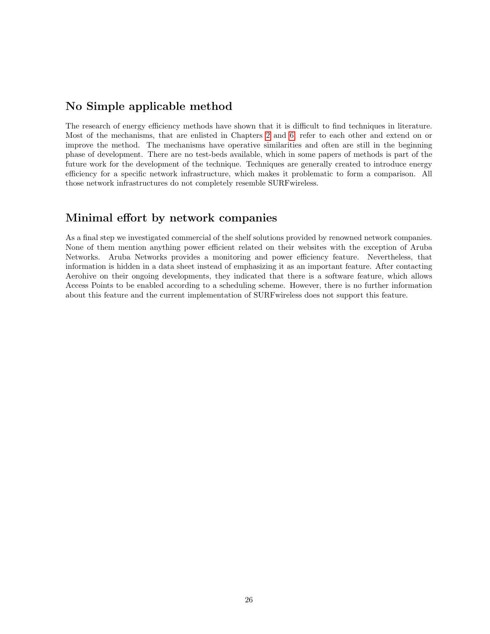#### No Simple applicable method

The research of energy efficiency methods have shown that it is difficult to find techniques in literature. Most of the mechanisms, that are enlisted in Chapters [2](#page-6-0) and [6,](#page-15-0) refer to each other and extend on or improve the method. The mechanisms have operative similarities and often are still in the beginning phase of development. There are no test-beds available, which in some papers of methods is part of the future work for the development of the technique. Techniques are generally created to introduce energy efficiency for a specific network infrastructure, which makes it problematic to form a comparison. All those network infrastructures do not completely resemble SURFwireless.

### Minimal effort by network companies

As a final step we investigated commercial of the shelf solutions provided by renowned network companies. None of them mention anything power efficient related on their websites with the exception of Aruba Networks. Aruba Networks provides a monitoring and power efficiency feature. Nevertheless, that information is hidden in a data sheet instead of emphasizing it as an important feature. After contacting Aerohive on their ongoing developments, they indicated that there is a software feature, which allows Access Points to be enabled according to a scheduling scheme. However, there is no further information about this feature and the current implementation of SURFwireless does not support this feature.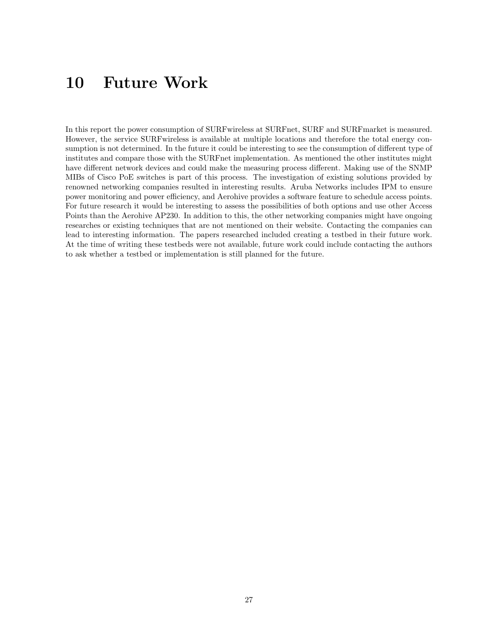# <span id="page-28-0"></span>10 Future Work

In this report the power consumption of SURFwireless at SURFnet, SURF and SURFmarket is measured. However, the service SURFwireless is available at multiple locations and therefore the total energy consumption is not determined. In the future it could be interesting to see the consumption of different type of institutes and compare those with the SURFnet implementation. As mentioned the other institutes might have different network devices and could make the measuring process different. Making use of the SNMP MIBs of Cisco PoE switches is part of this process. The investigation of existing solutions provided by renowned networking companies resulted in interesting results. Aruba Networks includes IPM to ensure power monitoring and power efficiency, and Aerohive provides a software feature to schedule access points. For future research it would be interesting to assess the possibilities of both options and use other Access Points than the Aerohive AP230. In addition to this, the other networking companies might have ongoing researches or existing techniques that are not mentioned on their website. Contacting the companies can lead to interesting information. The papers researched included creating a testbed in their future work. At the time of writing these testbeds were not available, future work could include contacting the authors to ask whether a testbed or implementation is still planned for the future.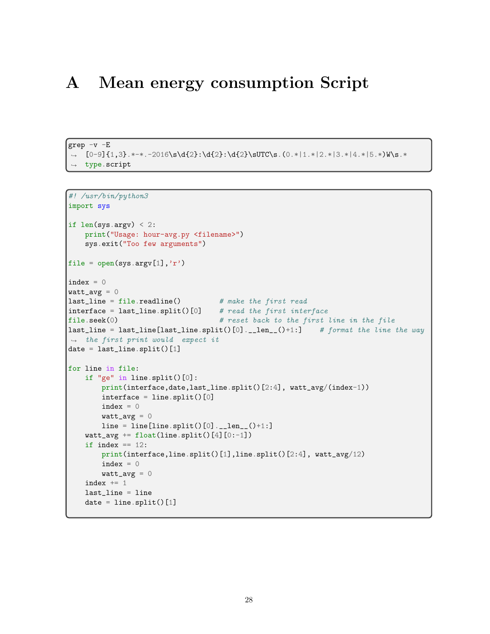# <span id="page-29-0"></span>A Mean energy consumption Script

```
grep -v -E
→ [0-9]{1,3}.*-*.-2016\s\d{2}:\d{2}:\d{2}\sUTC\s.(0.*|1.*|2.*|3.*|4.*|5.*)W\s.*
type.script
,→
```

```
#! /usr/bin/python3
import sys
if len(sys.argv) < 2:
   print("Usage: hour-avg.py <filename>")
    sys.exit("Too few arguments")
file = open(sys.argv[1], 'r')index = 0\texttt{watt}_\texttt{avg} = 0\begin{array}{l} \texttt{last\_line = file.readline()} \qquad \qquad \# make the first read.} \end{array}\intinterface = last_line.split()[0] # read the first interface
file.seek(0) # reset back to the first line in the file
last_line = last_line[last_line.split()[0].__len__()+1:] # format the line the way
\rightarrow the first print would expect it
|date = last\_line.split() [1]
for line in file:
    if "ge" in line.split()[0]:
        print(interface,date,last_line.split()[2:4], watt_avg/(index-1))
        interface = line.split()[0]index = 0watt_avg = 0line = line[line..split() [0] . _\_len_() + 1:]watt_avg += float(line.split() [4] [0:-1])if index == 12:
        print(interface,line.split()[1],line.split()[2:4], watt_avg/12)
        index = 0watt_avg = 0index += 1last_line = line
    date = line.split() [1]
```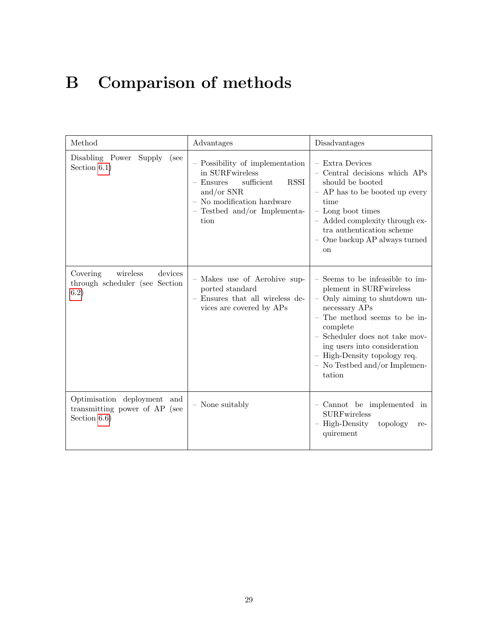# <span id="page-30-0"></span>B Comparison of methods

| Method                                                                          | Advantages                                                                                                                                                                             | Disadvantages                                                                                                                                                                                                                                                                                         |
|---------------------------------------------------------------------------------|----------------------------------------------------------------------------------------------------------------------------------------------------------------------------------------|-------------------------------------------------------------------------------------------------------------------------------------------------------------------------------------------------------------------------------------------------------------------------------------------------------|
| Disabling Power<br>Supply<br>(see<br>Section $6.1$ )                            | - Possibility of implementation<br>in SURFwireless<br>sufficient<br><b>RSSI</b><br>$-$ Ensures<br>and/or $SNR$<br>$-$ No modification hardware<br>- Testbed and/or Implementa-<br>tion | - Extra Devices<br>- Central decisions which APs<br>should be booted<br>- AP has to be booted up every<br>time<br>- Long boot times<br>- Added complexity through ex-<br>tra authentication scheme<br>- One backup AP always turned<br>on                                                             |
| wireless<br>devices<br>Covering<br>through scheduler (see Section<br>6.2)       | - Makes use of Aerohive sup-<br>ported standard<br>- Ensures that all wireless de-<br>vices are covered by APs                                                                         | - Seems to be infeasible to im-<br>plement in SURFwireless<br>- Only aiming to shutdown un-<br>necessary APs<br>- The method seems to be in-<br>complete<br>- Scheduler does not take mov-<br>ing users into consideration<br>- High-Density topology req.<br>- No Testbed and/or Implemen-<br>tation |
| Optimisation deployment and<br>transmitting power of AP (see<br>Section $6.6$ ) | - None suitably                                                                                                                                                                        | - Cannot be implemented in<br><b>SURFwireless</b><br>- High-Density<br>topology<br>re-<br>quirement                                                                                                                                                                                                   |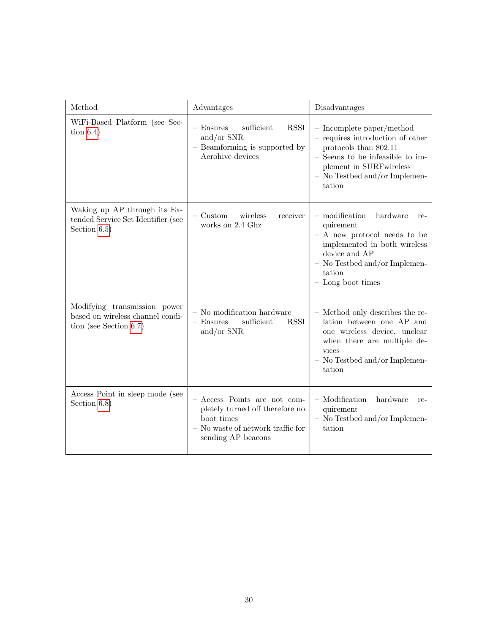| Method                                                                                        | Advantages                                                                                                                               | Disadvantages                                                                                                                                                                                       |
|-----------------------------------------------------------------------------------------------|------------------------------------------------------------------------------------------------------------------------------------------|-----------------------------------------------------------------------------------------------------------------------------------------------------------------------------------------------------|
| WiFi-Based Platform (see Sec-<br>tion $6.4$ )                                                 | sufficient<br><b>RSSI</b><br>$-$ Ensures<br>and/or $SNR$<br>- Beamforming is supported by<br>Aerohive devices                            | - Incomplete paper/method<br>- requires introduction of other<br>protocols than 802.11<br>- Seems to be infeasible to im-<br>plement in SURFwireless<br>- No Testbed and/or Implemen-<br>tation     |
| Waking up AP through its Ex-<br>tended Service Set Identifier (see<br>Section $6.5$ )         | $-$ Custom<br>wireless<br>receiver<br>works on 2.4 Ghz                                                                                   | $-$ modification<br>hardware<br>re-<br>quirement<br>$-$ A new protocol needs to be<br>implemented in both wireless<br>device and AP<br>- No Testbed and/or Implemen-<br>tation<br>- Long boot times |
| Modifying transmission power<br>based on wireless channel condi-<br>tion (see Section $6.7$ ) | $-$ No modification hardware<br>sufficient<br>$-$ Ensures<br><b>RSSI</b><br>and/or $SNR$                                                 | - Method only describes the re-<br>lation between one AP and<br>one wireless device, unclear<br>when there are multiple de-<br>vices<br>$-$ No Testbed and/or Implemen-<br>tation                   |
| Access Point in sleep mode (see<br>Section $6.8$ )                                            | Access Points are not com-<br>pletely turned off therefore no<br>boot times<br>$-$ No waste of network traffic for<br>sending AP beacons | - Modification<br>hardware<br>re-<br>quirement<br>- No Testbed and/or Implemen-<br>tation                                                                                                           |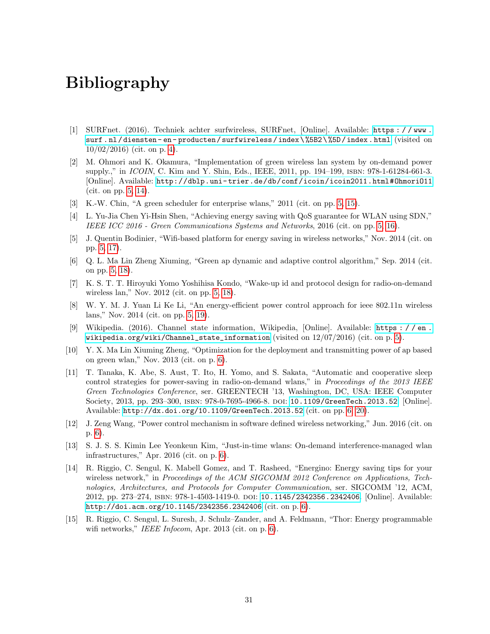# <span id="page-32-0"></span>Bibliography

- <span id="page-32-1"></span>[1] SURFnet. (2016). Techniek achter surfwireless, SURFnet, [Online]. Available: [https : / / www .](https://www.surf.nl/diensten-en-producten/surfwireless/index\%5B2\%5D/index.html) [surf . nl / diensten - en - producten / surfwireless / index \ %5B2 \ %5D / index . html](https://www.surf.nl/diensten-en-producten/surfwireless/index\%5B2\%5D/index.html) (visited on  $10/02/2016$ ) (cit. on p. [4\)](#page-5-2).
- <span id="page-32-2"></span>[2] M. Ohmori and K. Okamura, "Implementation of green wireless lan system by on-demand power supply.," in *ICOIN*, C. Kim and Y. Shin, Eds., IEEE, 2011, pp. 194–199, ISBN: 978-1-61284-661-3. [Online]. Available: [http://dblp.uni- trier.de/db/conf/icoin/icoin2011.html#OhmoriO11](http://dblp.uni-trier.de/db/conf/icoin/icoin2011.html#OhmoriO11) (cit. on pp. [5,](#page-6-1) [14\)](#page-15-3).
- <span id="page-32-3"></span>[3] K.-W. Chin, "A green scheduler for enterprise wlans," 2011 (cit. on pp. [5,](#page-6-1) [15\)](#page-16-3).
- <span id="page-32-4"></span>[4] L. Yu-Jia Chen Yi-Hsin Shen, "Achieving energy saving with QoS guarantee for WLAN using SDN," IEEE ICC 2016 - Green Communications Systems and Networks, 2016 (cit. on pp. [5,](#page-6-1) [16\)](#page-17-3).
- <span id="page-32-5"></span>[5] J. Quentin Bodinier, "Wifi-based platform for energy saving in wireless networks," Nov. 2014 (cit. on pp. [5,](#page-6-1) [17\)](#page-18-1).
- <span id="page-32-6"></span>[6] Q. L. Ma Lin Zheng Xiuming, "Green ap dynamic and adaptive control algorithm," Sep. 2014 (cit. on pp. [5,](#page-6-1) [18\)](#page-19-3).
- <span id="page-32-7"></span>[7] K. S. T. T. Hiroyuki Yomo Yoshihisa Kondo, "Wake-up id and protocol design for radio-on-demand wireless lan," Nov. 2012 (cit. on pp. [5,](#page-6-1) [18\)](#page-19-3).
- <span id="page-32-8"></span>[8] W. Y. M. J. Yuan Li Ke Li, "An energy-efficient power control approach for ieee 802.11n wireless lans," Nov. 2014 (cit. on pp. [5,](#page-6-1) [19\)](#page-20-3).
- <span id="page-32-9"></span>[9] Wikipedia. (2016). Channel state information, Wikipedia, [Online]. Available: [https : / / en .](https://en.wikipedia.org/wiki/Channel_state_information) [wikipedia.org/wiki/Channel\\_state\\_information](https://en.wikipedia.org/wiki/Channel_state_information) (visited on  $12/07/2016$ ) (cit. on p. [5\)](#page-6-1).
- <span id="page-32-10"></span>[10] Y. X. Ma Lin Xiuming Zheng, "Optimization for the deployment and transmitting power of ap based on green wlan," Nov. 2013 (cit. on p. [6\)](#page-7-0).
- <span id="page-32-11"></span>[11] T. Tanaka, K. Abe, S. Aust, T. Ito, H. Yomo, and S. Sakata, "Automatic and cooperative sleep control strategies for power-saving in radio-on-demand wlans," in Proceedings of the 2013 IEEE Green Technologies Conference, ser. GREENTECH '13, Washington, DC, USA: IEEE Computer Society, 2013, pp. 293–300, isbn: 978-0-7695-4966-8. doi: [10.1109/GreenTech.2013.52](http://dx.doi.org/10.1109/GreenTech.2013.52). [Online]. Available: <http://dx.doi.org/10.1109/GreenTech.2013.52> (cit. on pp. [6,](#page-7-0) [20\)](#page-21-1).
- <span id="page-32-12"></span>[12] J. Zeng Wang, "Power control mechanism in software defined wireless networking," Jun. 2016 (cit. on p. [6\)](#page-7-0).
- <span id="page-32-13"></span>[13] S. J. S. S. Kimin Lee Yeonkeun Kim, "Just-in-time wlans: On-demand interference-managed wlan infrastructures," Apr. 2016 (cit. on p. [6\)](#page-7-0).
- <span id="page-32-14"></span>[14] R. Riggio, C. Sengul, K. Mabell Gomez, and T. Rasheed, "Energino: Energy saving tips for your wireless network," in Proceedings of the ACM SIGCOMM 2012 Conference on Applications, Technologies, Architectures, and Protocols for Computer Communication, ser. SIGCOMM '12, ACM, 2012, pp. 273–274, ISBN: 978-1-4503-1419-0. DOI: [10.1145/2342356.2342406](http://dx.doi.org/10.1145/2342356.2342406). [Online]. Available: <http://doi.acm.org/10.1145/2342356.2342406> (cit. on p. [6\)](#page-7-0).
- <span id="page-32-15"></span>[15] R. Riggio, C. Sengul, L. Suresh, J. Schulz–Zander, and A. Feldmann, "Thor: Energy programmable wifi networks," IEEE Infocom, Apr. 2013 (cit. on p. [6\)](#page-7-0).